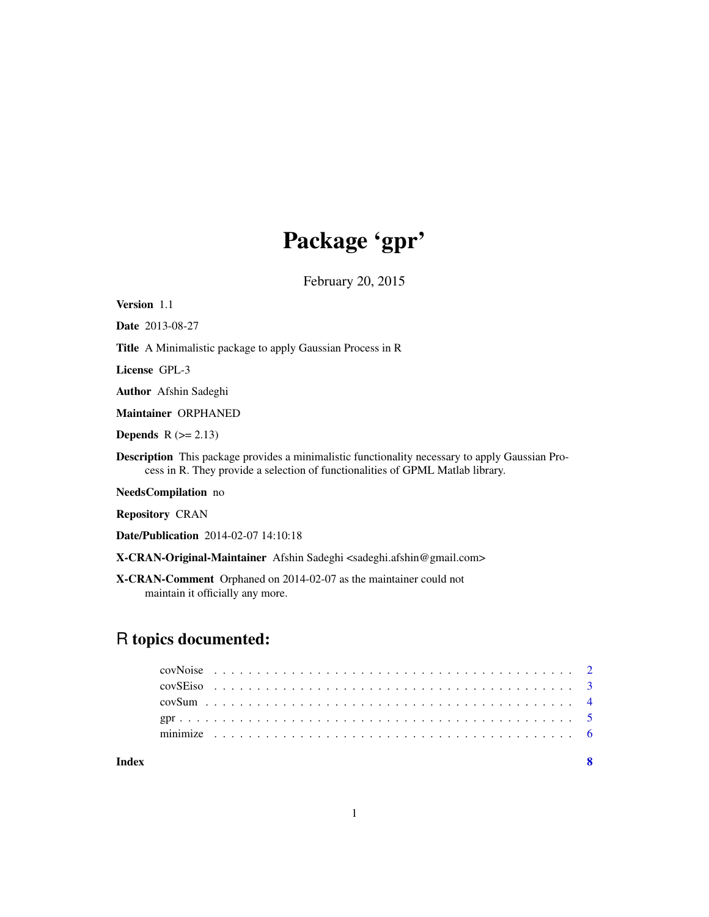## Package 'gpr'

February 20, 2015

Version 1.1

Date 2013-08-27

Title A Minimalistic package to apply Gaussian Process in R

License GPL-3

Author Afshin Sadeghi

Maintainer ORPHANED

Depends  $R (= 2.13)$ 

Description This package provides a minimalistic functionality necessary to apply Gaussian Process in R. They provide a selection of functionalities of GPML Matlab library.

NeedsCompilation no

Repository CRAN

Date/Publication 2014-02-07 14:10:18

X-CRAN-Original-Maintainer Afshin Sadeghi <sadeghi.afshin@gmail.com>

X-CRAN-Comment Orphaned on 2014-02-07 as the maintainer could not maintain it officially any more.

### R topics documented:

| Index |  |  |  |  |  |  |  |  |  |  |  |  |  |  |  |  |  |  |  |  |  |  |
|-------|--|--|--|--|--|--|--|--|--|--|--|--|--|--|--|--|--|--|--|--|--|--|
|       |  |  |  |  |  |  |  |  |  |  |  |  |  |  |  |  |  |  |  |  |  |  |
|       |  |  |  |  |  |  |  |  |  |  |  |  |  |  |  |  |  |  |  |  |  |  |
|       |  |  |  |  |  |  |  |  |  |  |  |  |  |  |  |  |  |  |  |  |  |  |
|       |  |  |  |  |  |  |  |  |  |  |  |  |  |  |  |  |  |  |  |  |  |  |
|       |  |  |  |  |  |  |  |  |  |  |  |  |  |  |  |  |  |  |  |  |  |  |

1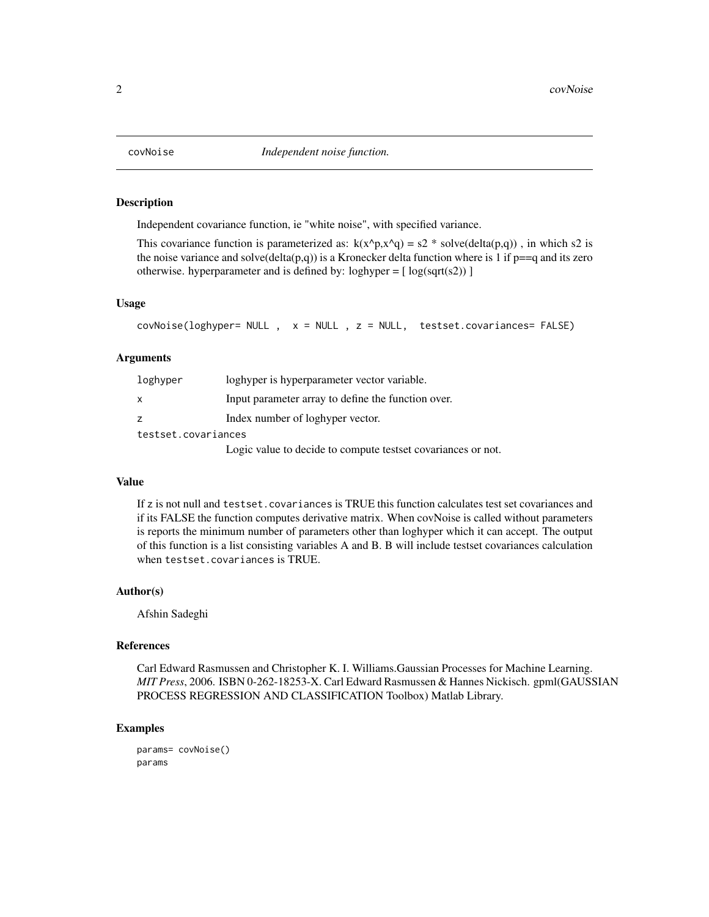<span id="page-1-0"></span>

#### Description

Independent covariance function, ie "white noise", with specified variance.

This covariance function is parameterized as:  $k(x^p, x^q) = s^2 *$  solve(delta(p,q)), in which s2 is the noise variance and solve(delta(p,q)) is a Kronecker delta function where is 1 if  $p == q$  and its zero otherwise. hyperparameter and is defined by:  $loghyper = [log(sqrt(s2))]$ 

#### Usage

covNoise(loghyper= NULL , x = NULL , z = NULL, testset.covariances= FALSE)

#### Arguments

| loghyper            | loghyper is hyperparameter vector variable.                  |
|---------------------|--------------------------------------------------------------|
| X                   | Input parameter array to define the function over.           |
| Z                   | Index number of loghyper vector.                             |
| testset.covariances |                                                              |
|                     | Logic value to decide to compute tests e covariances or not. |

#### Value

If z is not null and testset.covariances is TRUE this function calculates test set covariances and if its FALSE the function computes derivative matrix. When covNoise is called without parameters is reports the minimum number of parameters other than loghyper which it can accept. The output of this function is a list consisting variables A and B. B will include testset covariances calculation when testset.covariances is TRUE.

#### Author(s)

Afshin Sadeghi

#### References

Carl Edward Rasmussen and Christopher K. I. Williams.Gaussian Processes for Machine Learning. *MIT Press*, 2006. ISBN 0-262-18253-X. Carl Edward Rasmussen & Hannes Nickisch. gpml(GAUSSIAN PROCESS REGRESSION AND CLASSIFICATION Toolbox) Matlab Library.

#### Examples

params= covNoise() params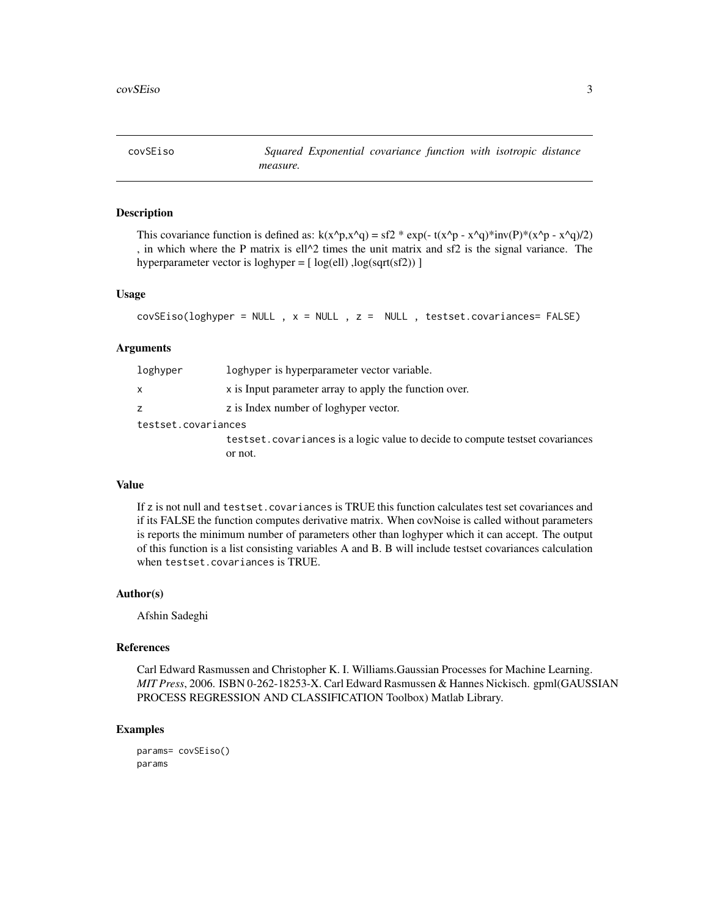<span id="page-2-0"></span>covSEiso *Squared Exponential covariance function with isotropic distance measure.*

#### Description

This covariance function is defined as:  $k(x^p, x^q) = s f^2 * exp(- t(x^p - x^q) * inv(P) * (x^p - x^q)/2)$ , in which where the P matrix is ell $\alpha$ 2 times the unit matrix and sf2 is the signal variance. The hyperparameter vector is loghyper =  $[$  log(ell) , log(sqrt(sf2))  $]$ 

#### Usage

```
covSEiso(loghyper = NULL, x = NULL, z = NULL, testset.covariances = FALSE)
```
#### Arguments

| loghyper            | loghyper is hyperparameter vector variable.                                      |
|---------------------|----------------------------------------------------------------------------------|
| x                   | x is Input parameter array to apply the function over.                           |
| Z.                  | z is Index number of loghyper vector.                                            |
| testset.covariances |                                                                                  |
|                     | test set. covariances is a logic value to decide to compute test set covariances |
|                     | or not.                                                                          |

#### Value

If z is not null and testset.covariances is TRUE this function calculates test set covariances and if its FALSE the function computes derivative matrix. When covNoise is called without parameters is reports the minimum number of parameters other than loghyper which it can accept. The output of this function is a list consisting variables A and B. B will include testset covariances calculation when testset.covariances is TRUE.

#### Author(s)

Afshin Sadeghi

#### References

Carl Edward Rasmussen and Christopher K. I. Williams.Gaussian Processes for Machine Learning. *MIT Press*, 2006. ISBN 0-262-18253-X. Carl Edward Rasmussen & Hannes Nickisch. gpml(GAUSSIAN PROCESS REGRESSION AND CLASSIFICATION Toolbox) Matlab Library.

#### Examples

params= covSEiso() params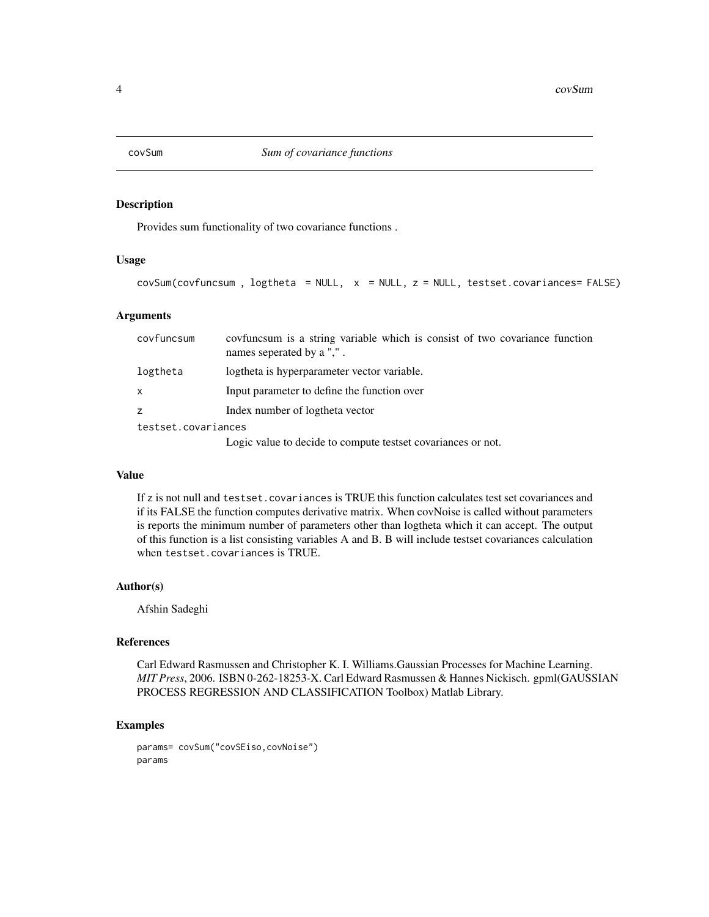<span id="page-3-0"></span>

### Description

Provides sum functionality of two covariance functions .

#### Usage

```
covSum(covfuncsum, 10gtheta = NULL, x = NULL, z = NULL, testset.covariances = FALSE)
```
#### Arguments

| covfuncsum          | covfuncium is a string variable which is consist of two covariance function<br>names seperated by a ",". |  |  |  |  |
|---------------------|----------------------------------------------------------------------------------------------------------|--|--|--|--|
| logtheta            | logtheta is hyperparameter vector variable.                                                              |  |  |  |  |
| $\mathsf{x}$        | Input parameter to define the function over                                                              |  |  |  |  |
| z                   | Index number of logtheta vector                                                                          |  |  |  |  |
| testset.covariances |                                                                                                          |  |  |  |  |
|                     |                                                                                                          |  |  |  |  |

Logic value to decide to compute testset covariances or not.

#### Value

If z is not null and testset.covariances is TRUE this function calculates test set covariances and if its FALSE the function computes derivative matrix. When covNoise is called without parameters is reports the minimum number of parameters other than logtheta which it can accept. The output of this function is a list consisting variables A and B. B will include testset covariances calculation when testset.covariances is TRUE.

#### Author(s)

Afshin Sadeghi

#### References

Carl Edward Rasmussen and Christopher K. I. Williams.Gaussian Processes for Machine Learning. *MIT Press*, 2006. ISBN 0-262-18253-X. Carl Edward Rasmussen & Hannes Nickisch. gpml(GAUSSIAN PROCESS REGRESSION AND CLASSIFICATION Toolbox) Matlab Library.

#### Examples

```
params= covSum("covSEiso,covNoise")
params
```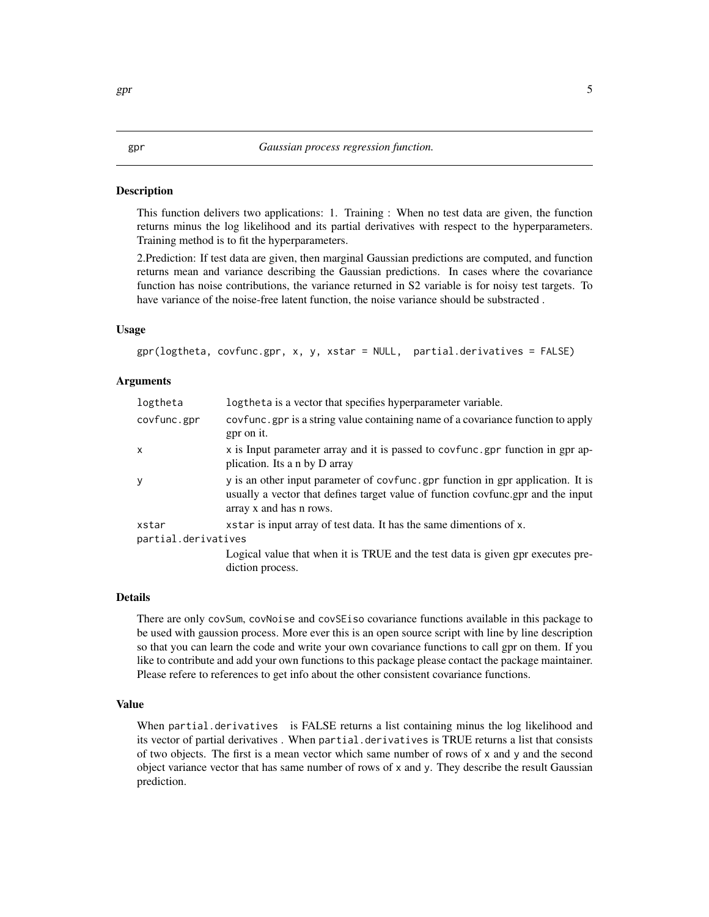#### <span id="page-4-0"></span>**Description**

This function delivers two applications: 1. Training : When no test data are given, the function returns minus the log likelihood and its partial derivatives with respect to the hyperparameters. Training method is to fit the hyperparameters.

2.Prediction: If test data are given, then marginal Gaussian predictions are computed, and function returns mean and variance describing the Gaussian predictions. In cases where the covariance function has noise contributions, the variance returned in S2 variable is for noisy test targets. To have variance of the noise-free latent function, the noise variance should be substracted .

#### Usage

```
gpr(logtheta, covfunc.gpr, x, y, xstar = NULL, partial.derivatives = FALSE)
```
#### Arguments

| logtheta            | log the ta is a vector that specifies hyperparameter variable.                                                                                                                                  |
|---------------------|-------------------------------------------------------------------------------------------------------------------------------------------------------------------------------------------------|
| covfunc.gpr         | covfunc gpr is a string value containing name of a covariance function to apply<br>gpr on it.                                                                                                   |
| $\mathsf{x}$        | x is Input parameter array and it is passed to covfunc.gpr function in gpr ap-<br>plication. Its a n by D array                                                                                 |
| <b>V</b>            | y is an other input parameter of covfunc, gpr function in gpr application. It is<br>usually a vector that defines target value of function covfunc.gpr and the input<br>array x and has n rows. |
| xstar               | x star is input array of test data. It has the same dimentions of x.                                                                                                                            |
| partial.derivatives |                                                                                                                                                                                                 |
|                     | Logical value that when it is TRUE and the test data is given gpr executes pre-<br>diction process.                                                                                             |

#### Details

There are only covSum, covNoise and covSEiso covariance functions available in this package to be used with gaussion process. More ever this is an open source script with line by line description so that you can learn the code and write your own covariance functions to call gpr on them. If you like to contribute and add your own functions to this package please contact the package maintainer. Please refere to references to get info about the other consistent covariance functions.

#### Value

When partial.derivatives is FALSE returns a list containing minus the log likelihood and its vector of partial derivatives. When partial.derivatives is TRUE returns a list that consists of two objects. The first is a mean vector which same number of rows of  $x$  and  $y$  and the second object variance vector that has same number of rows of x and y. They describe the result Gaussian prediction.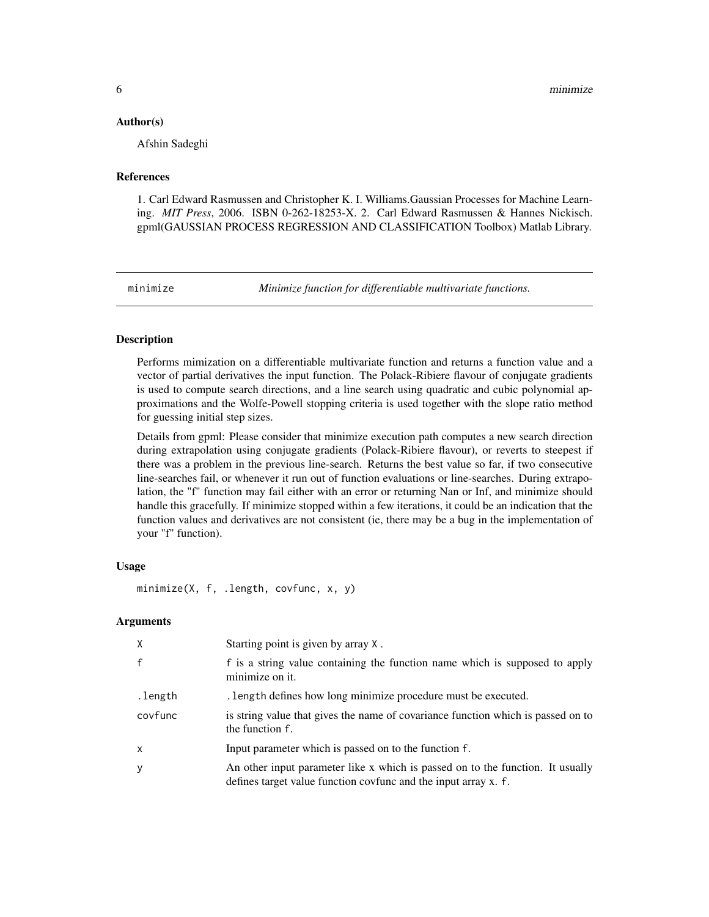#### <span id="page-5-0"></span>Author(s)

Afshin Sadeghi

#### References

1. Carl Edward Rasmussen and Christopher K. I. Williams.Gaussian Processes for Machine Learning. *MIT Press*, 2006. ISBN 0-262-18253-X. 2. Carl Edward Rasmussen & Hannes Nickisch. gpml(GAUSSIAN PROCESS REGRESSION AND CLASSIFICATION Toolbox) Matlab Library.

minimize *Minimize function for differentiable multivariate functions.*

#### **Description**

Performs mimization on a differentiable multivariate function and returns a function value and a vector of partial derivatives the input function. The Polack-Ribiere flavour of conjugate gradients is used to compute search directions, and a line search using quadratic and cubic polynomial approximations and the Wolfe-Powell stopping criteria is used together with the slope ratio method for guessing initial step sizes.

Details from gpml: Please consider that minimize execution path computes a new search direction during extrapolation using conjugate gradients (Polack-Ribiere flavour), or reverts to steepest if there was a problem in the previous line-search. Returns the best value so far, if two consecutive line-searches fail, or whenever it run out of function evaluations or line-searches. During extrapolation, the "f" function may fail either with an error or returning Nan or Inf, and minimize should handle this gracefully. If minimize stopped within a few iterations, it could be an indication that the function values and derivatives are not consistent (ie, there may be a bug in the implementation of your "f" function).

### Usage

minimize(X, f, .length, covfunc, x, y)

#### **Arguments**

| X            | Starting point is given by array X.                                                                                                               |
|--------------|---------------------------------------------------------------------------------------------------------------------------------------------------|
| $\mathsf{f}$ | f is a string value containing the function name which is supposed to apply<br>minimize on it.                                                    |
| .length      | . length defines how long minimize procedure must be executed.                                                                                    |
| covfunc      | is string value that gives the name of covariance function which is passed on to<br>the function f.                                               |
| $\mathsf{x}$ | Input parameter which is passed on to the function f.                                                                                             |
| y            | An other input parameter like x which is passed on to the function. It usually<br>defines target value function covfunc and the input array x. f. |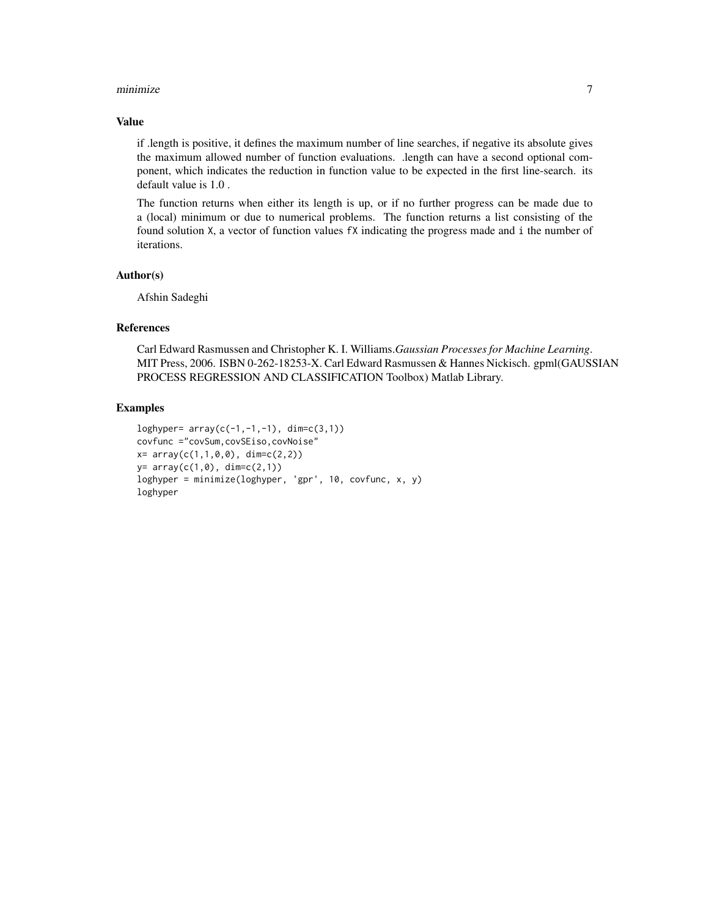#### minimize **7**

#### Value

if .length is positive, it defines the maximum number of line searches, if negative its absolute gives the maximum allowed number of function evaluations. .length can have a second optional component, which indicates the reduction in function value to be expected in the first line-search. its default value is 1.0 .

The function returns when either its length is up, or if no further progress can be made due to a (local) minimum or due to numerical problems. The function returns a list consisting of the found solution X, a vector of function values fX indicating the progress made and i the number of iterations.

### Author(s)

Afshin Sadeghi

#### References

Carl Edward Rasmussen and Christopher K. I. Williams.*Gaussian Processes for Machine Learning*. MIT Press, 2006. ISBN 0-262-18253-X. Carl Edward Rasmussen & Hannes Nickisch. gpml(GAUSSIAN PROCESS REGRESSION AND CLASSIFICATION Toolbox) Matlab Library.

### Examples

```
loghyper= array(c(-1, -1, -1), dim=c(3,1))covfunc ="covSum,covSEiso,covNoise"
x= array(c(1,1,0,0), dim=c(2,2))y= array(c(1, 0), dim=c(2,1))loghyper = minimize(loghyper, 'gpr', 10, covfunc, x, y)
loghyper
```